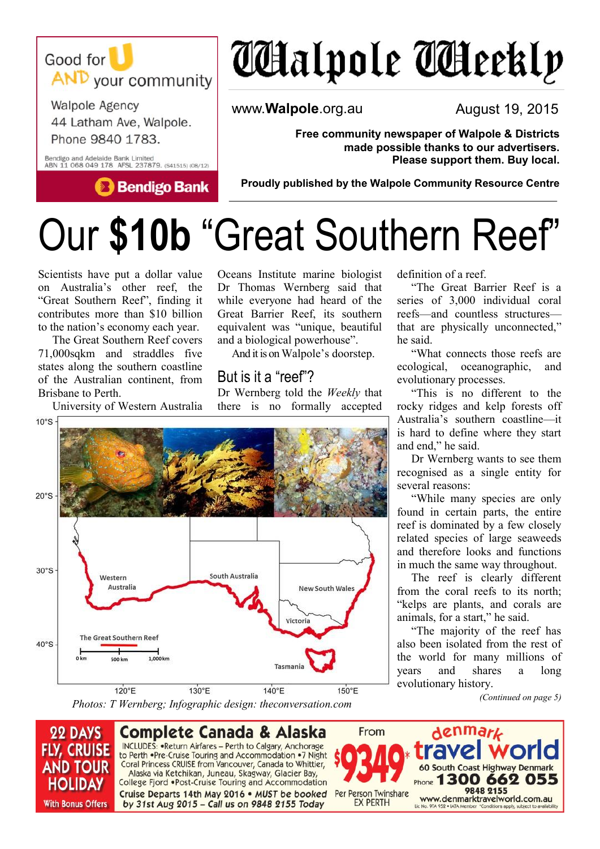

**Walpole Agency** 44 Latham Ave, Walpole. Phone 9840 1783.

Bendigo and Adelaide Bank Limited<br>ABN 11 068 049 178 AFSL 237879. (541515) (08/12)

**Bendigo Bank** 

# *C*alpole **C**Aeekly

www.**Walpole**.org.au

August 19, 2015

**Free community newspaper of Walpole & Districts made possible thanks to our advertisers. Please support them. Buy local.**

**Proudly published by the Walpole Community Resource Centre** 

## Our **\$10b** "Great Southern Reef"

Scientists have put a dollar value on Australia's other reef, the "Great Southern Reef", finding it contributes more than \$10 billion to the nation's economy each year.

The Great Southern Reef covers 71,000sqkm and straddles five states along the southern coastline of the Australian continent, from Brisbane to Perth.

University of Western Australia

Oceans Institute marine biologist Dr Thomas Wernberg said that while everyone had heard of the Great Barrier Reef, its southern equivalent was "unique, beautiful and a biological powerhouse".

And it is on Walpole's doorstep.

#### But is it a "reef"?

Dr Wernberg told the *Weekly* that there is no formally accepted



definition of a reef.

"The Great Barrier Reef is a series of 3,000 individual coral reefs—and countless structures that are physically unconnected," he said.

"What connects those reefs are ecological, oceanographic, and evolutionary processes.

"This is no different to the rocky ridges and kelp forests off Australia's southern coastline—it is hard to define where they start and end," he said.

Dr Wernberg wants to see them recognised as a single entity for several reasons:

"While many species are only found in certain parts, the entire reef is dominated by a few closely related species of large seaweeds and therefore looks and functions in much the same way throughout.

The reef is clearly different from the coral reefs to its north; "kelps are plants, and corals are animals, for a start," he said.

"The majority of the reef has also been isolated from the rest of the world for many millions of years and shares a long evolutionary history.

*(Continued on page 5)*



**Complete Canada & Alaska** INCLUDES: . Return Airfares - Perth to Calgary, Anchorage to Perth .Pre-Cruise Touring and Accommodation .7 Night Coral Princess CRUISE from Vancouver, Canada to Whittier, Alaska via Ketchikan, Juneau, Skagway, Glacier Bay, College Fjord .Post-Cruise Touring and Accommodation Cruise Departs 14th May 2016 . MUST be booked by 31st Aug 2015 - Call us on 9848 2155 Today